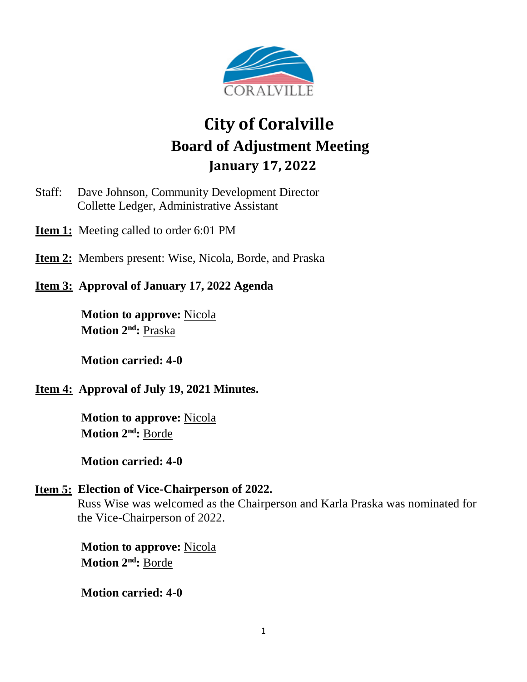

# **City of Coralville Board of Adjustment Meeting January 17, 2022**

- Staff: Dave Johnson, Community Development Director Collette Ledger, Administrative Assistant
- **<u>Item 1:**</u> Meeting called to order 6:01 PM
- **Item 2:** Members present: Wise, Nicola, Borde, and Praska
- **Item 3: Approval of January 17, 2022 Agenda**

**Motion to approve:** Nicola **Motion 2 nd:** Praska

**Motion carried: 4-0**

## **Item 4: Approval of July 19, 2021 Minutes.**

**Motion to approve:** Nicola **Motion 2 nd:** Borde

**Motion carried: 4-0**

#### **Item 5: Election of Vice-Chairperson of 2022.**

Russ Wise was welcomed as the Chairperson and Karla Praska was nominated for the Vice-Chairperson of 2022.

**Motion to approve:** Nicola **Motion 2 nd:** Borde

**Motion carried: 4-0**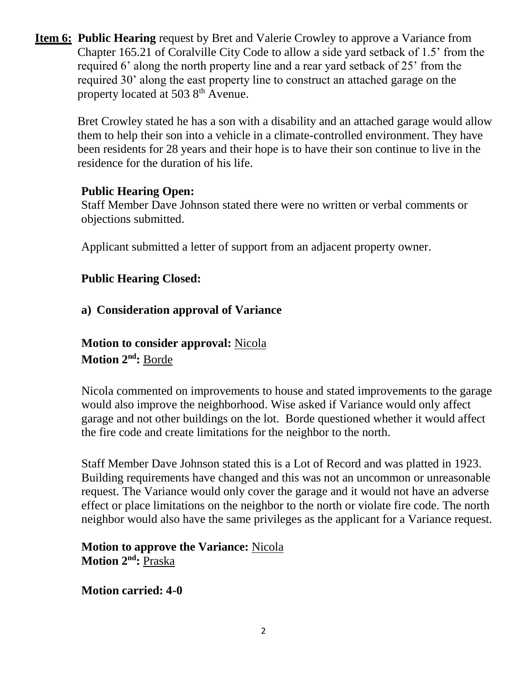**Item 6: Public Hearing** request by Bret and Valerie Crowley to approve a Variance from Chapter 165.21 of Coralville City Code to allow a side yard setback of 1.5' from the required 6' along the north property line and a rear yard setback of 25' from the required 30' along the east property line to construct an attached garage on the property located at 503 8<sup>th</sup> Avenue.

Bret Crowley stated he has a son with a disability and an attached garage would allow them to help their son into a vehicle in a climate-controlled environment. They have been residents for 28 years and their hope is to have their son continue to live in the residence for the duration of his life.

## **Public Hearing Open:**

Staff Member Dave Johnson stated there were no written or verbal comments or objections submitted.

Applicant submitted a letter of support from an adjacent property owner.

## **Public Hearing Closed:**

## **a) Consideration approval of Variance**

**Motion to consider approval:** Nicola **Motion 2 nd:** Borde

Nicola commented on improvements to house and stated improvements to the garage would also improve the neighborhood. Wise asked if Variance would only affect garage and not other buildings on the lot. Borde questioned whether it would affect the fire code and create limitations for the neighbor to the north.

Staff Member Dave Johnson stated this is a Lot of Record and was platted in 1923. Building requirements have changed and this was not an uncommon or unreasonable request. The Variance would only cover the garage and it would not have an adverse effect or place limitations on the neighbor to the north or violate fire code. The north neighbor would also have the same privileges as the applicant for a Variance request.

## **Motion to approve the Variance:** Nicola **Motion 2nd:** Praska

**Motion carried: 4-0**